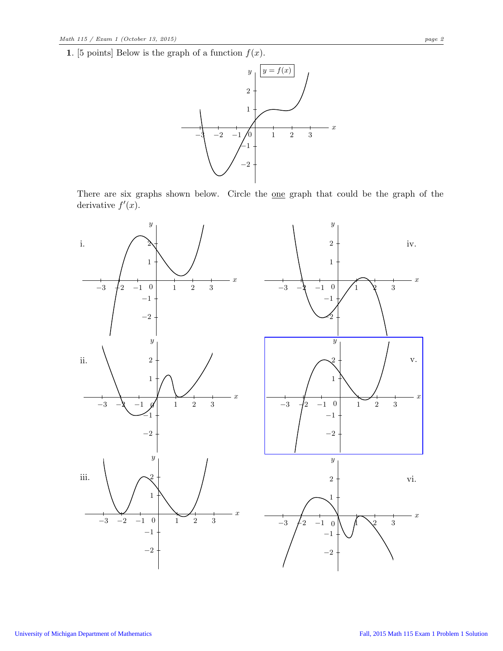1. [5 points] Below is the graph of a function  $f(x)$ .



There are six graphs shown below. Circle the <u>one</u> graph that could be the graph of the derivative  $f'(x)$ .

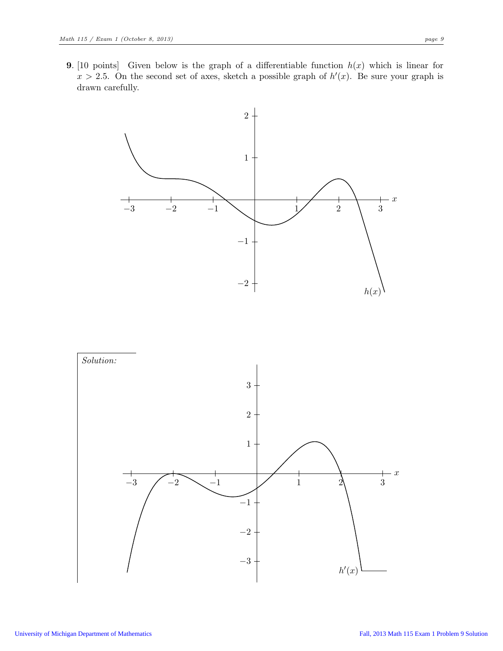**9.** [10 points] Given below is the graph of a differentiable function  $h(x)$  which is linear for  $x > 2.5$ . On the second set of axes, sketch a possible graph of  $h'(x)$ . Be sure your graph is drawn carefully.



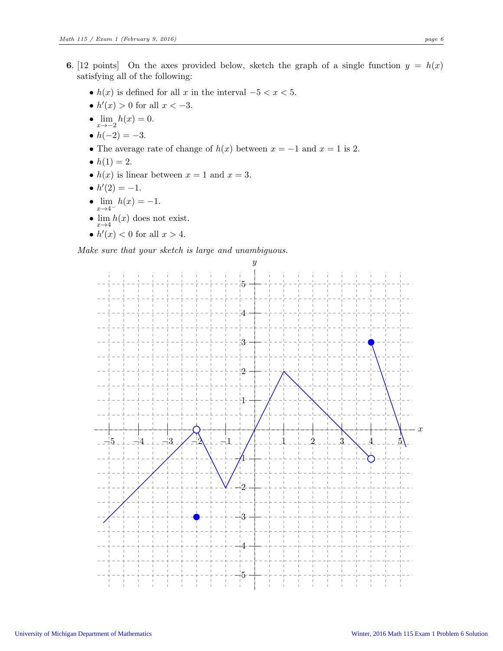- 6. [12 points] On the axes provided below, sketch the graph of a single function  $y = h(x)$ satisfying all of the following:
	- $h(x)$  is defined for all x in the interval  $-5 < x < 5$ .
	- $h'(x) > 0$  for all  $x < -3$ .
	- $\lim_{x \to -2} h(x) = 0.$
	- $h(-2) = -3$ .
	- The average rate of change of  $h(x)$  between  $x = -1$  and  $x = 1$  is 2.
	- $h(1) = 2$ .
	- $h(x)$  is linear between  $x = 1$  and  $x = 3$ .
	- $h'(2) = -1$ .
	- $\lim_{x \to 4^{-}} h(x) = -1.$
	- $\lim h(x)$  does not exist.  $x\rightarrow 4$
	- $h'(x) < 0$  for all  $x > 4$ .

Make sure that your sketch is large and unambiguous.

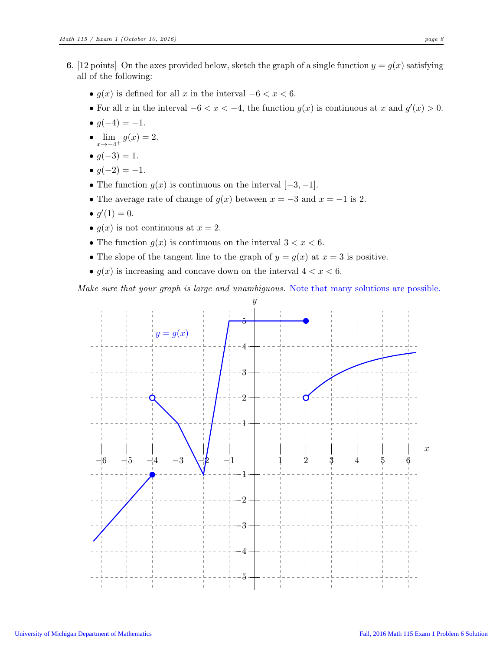- 6. [12 points] On the axes provided below, sketch the graph of a single function  $y = g(x)$  satisfying all of the following:
	- $g(x)$  is defined for all x in the interval  $-6 < x < 6$ .
	- For all x in the interval  $-6 < x < -4$ , the function  $g(x)$  is continuous at x and  $g'(x) > 0$ .
	- $q(-4) = -1$ .
	- $\lim_{x \to -4^+} g(x) = 2.$
	- $q(-3) = 1$ .
	- $g(-2) = -1$ .
	- The function  $g(x)$  is continuous on the interval  $[-3, -1]$ .
	- The average rate of change of  $g(x)$  between  $x = -3$  and  $x = -1$  is 2.
	- $g'(1) = 0$ .
	- $q(x)$  is not continuous at  $x = 2$ .
	- The function  $g(x)$  is continuous on the interval  $3 < x < 6$ .
	- The slope of the tangent line to the graph of  $y = g(x)$  at  $x = 3$  is positive.
	- $g(x)$  is increasing and concave down on the interval  $4 < x < 6$ .

Make sure that your graph is large and unambiguous. Note that many solutions are possible.

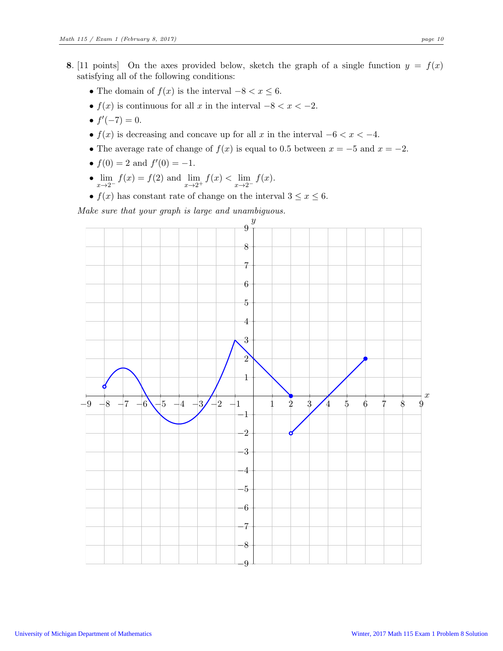- 8. [11 points] On the axes provided below, sketch the graph of a single function  $y = f(x)$ satisfying all of the following conditions:
	- The domain of  $f(x)$  is the interval  $-8 < x \leq 6$ .
	- $f(x)$  is continuous for all x in the interval  $-8 < x < -2$ .
	- $f'(-7) = 0$ .
	- $f(x)$  is decreasing and concave up for all x in the interval  $-6 < x < -4$ .
	- The average rate of change of  $f(x)$  is equal to 0.5 between  $x = -5$  and  $x = -2$ .
	- $f(0) = 2$  and  $f'(0) = -1$ .
	- $\lim_{x \to 2^{-}} f(x) = f(2)$  and  $\lim_{x \to 2^{+}} f(x) < \lim_{x \to 2^{-}} f(x)$ .
	- $f(x)$  has constant rate of change on the interval  $3 \le x \le 6$ .

Make sure that your graph is large and unambiguous.